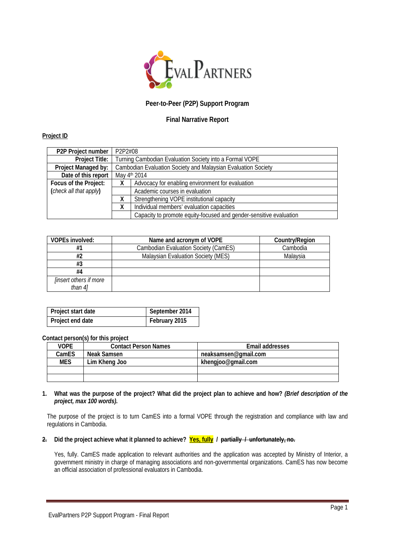

# **Peer-to-Peer (P2P) Support Program**

## **Final Narrative Report**

## **Project ID**

| P <sub>2</sub> P Project number | P2P2#08                                                       |                                                                    |  |
|---------------------------------|---------------------------------------------------------------|--------------------------------------------------------------------|--|
| <b>Project Title:</b>           | Turning Cambodian Evaluation Society into a Formal VOPE       |                                                                    |  |
| Project Managed by:             | Cambodian Evaluation Society and Malaysian Evaluation Society |                                                                    |  |
| Date of this report             | May 4th 2014                                                  |                                                                    |  |
| Focus of the Project:           |                                                               | Advocacy for enabling environment for evaluation                   |  |
| (check all that apply)          | Academic courses in evaluation                                |                                                                    |  |
|                                 |                                                               | Strengthening VOPE institutional capacity                          |  |
|                                 |                                                               | Individual members' evaluation capacities                          |  |
|                                 |                                                               | Capacity to promote equity-focused and gender-sensitive evaluation |  |

| VOPEs involved:                          | Name and acronym of VOPE                    | Country/Region |
|------------------------------------------|---------------------------------------------|----------------|
| #1                                       | <b>Cambodian Evaluation Society (CamES)</b> | Cambodia       |
| #2                                       | Malaysian Evaluation Society (MES)          | Malaysia       |
| #3                                       |                                             |                |
| #4                                       |                                             |                |
| <i>linsert others if more</i><br>than 41 |                                             |                |

| Project start date | September 2014 |
|--------------------|----------------|
| Project end date   | February 2015  |

#### **Contact person(s) for this project**

| VOPF       | <b>Contact Person Names</b> | Email addresses      |
|------------|-----------------------------|----------------------|
| CamES      | Neak Samsen                 | neaksamsen@gmail.com |
| <b>MES</b> | Lim Kheng Joo               | khengjoo@gmail.com   |
|            |                             |                      |
|            |                             |                      |

## **1. What was the purpose of the project? What did the project plan to achieve and how?** *(Brief description of the project, max 100 words).*

The purpose of the project is to turn CamES into a formal VOPE through the registration and compliance with law and regulations in Cambodia.

# **2. Did the project achieve what it planned to achieve? Yes, fully / partially / unfortunately, no.**

Yes, fully. CamES made application to relevant authorities and the application was accepted by Ministry of Interior, a government ministry in charge of managing associations and non-governmental organizations. CamES has now become an official association of professional evaluators in Cambodia.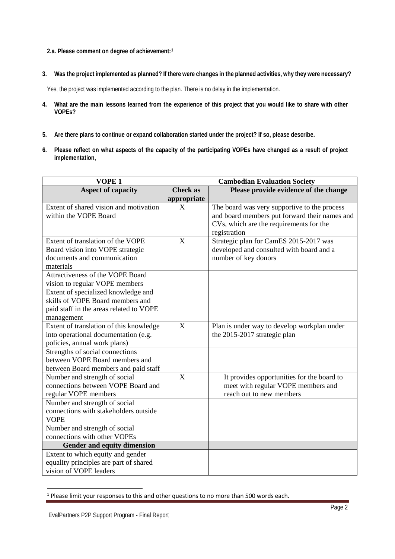**2.a. Please comment on degree of achievement:[1](#page-1-0)**

**3. Was the project implemented as planned? If there were changes in the planned activities, why they were necessary?**

Yes, the project was implemented according to the plan. There is no delay in the implementation.

- **4. What are the main lessons learned from the experience of this project that you would like to share with other VOPEs?**
- **5. Are there plans to continue or expand collaboration started under the project? If so, please describe.**
- **6. Please reflect on what aspects of the capacity of the participating VOPEs have changed as a result of project implementation,**

| VOPE <sub>1</sub>                       | <b>Cambodian Evaluation Society</b> |                                               |  |
|-----------------------------------------|-------------------------------------|-----------------------------------------------|--|
| <b>Aspect of capacity</b>               | <b>Check as</b>                     | Please provide evidence of the change         |  |
|                                         | appropriate                         |                                               |  |
| Extent of shared vision and motivation  | $\overline{X}$                      | The board was very supportive to the process  |  |
| within the VOPE Board                   |                                     | and board members put forward their names and |  |
|                                         |                                     | CVs, which are the requirements for the       |  |
|                                         |                                     | registration                                  |  |
| Extent of translation of the VOPE       | X                                   | Strategic plan for CamES 2015-2017 was        |  |
| Board vision into VOPE strategic        |                                     | developed and consulted with board and a      |  |
| documents and communication             |                                     | number of key donors                          |  |
| materials                               |                                     |                                               |  |
| Attractiveness of the VOPE Board        |                                     |                                               |  |
| vision to regular VOPE members          |                                     |                                               |  |
| Extent of specialized knowledge and     |                                     |                                               |  |
| skills of VOPE Board members and        |                                     |                                               |  |
| paid staff in the areas related to VOPE |                                     |                                               |  |
| management                              |                                     |                                               |  |
| Extent of translation of this knowledge | X                                   | Plan is under way to develop workplan under   |  |
| into operational documentation (e.g.    |                                     | the 2015-2017 strategic plan                  |  |
| policies, annual work plans)            |                                     |                                               |  |
| Strengths of social connections         |                                     |                                               |  |
| between VOPE Board members and          |                                     |                                               |  |
| between Board members and paid staff    |                                     |                                               |  |
| Number and strength of social           | $\boldsymbol{X}$                    | It provides opportunities for the board to    |  |
| connections between VOPE Board and      |                                     | meet with regular VOPE members and            |  |
| regular VOPE members                    |                                     | reach out to new members                      |  |
| Number and strength of social           |                                     |                                               |  |
| connections with stakeholders outside   |                                     |                                               |  |
| <b>VOPE</b>                             |                                     |                                               |  |
| Number and strength of social           |                                     |                                               |  |
| connections with other VOPEs            |                                     |                                               |  |
| Gender and equity dimension             |                                     |                                               |  |
| Extent to which equity and gender       |                                     |                                               |  |
| equality principles are part of shared  |                                     |                                               |  |
| vision of VOPE leaders                  |                                     |                                               |  |

<span id="page-1-0"></span><sup>&</sup>lt;sup>1</sup> Please limit your responses to this and other questions to no more than 500 words each.

 $\overline{a}$